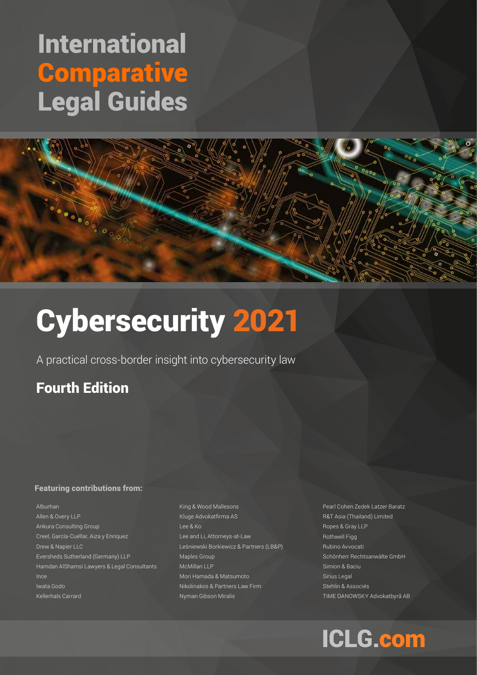# **International Comparative Legal Guides**



# Cybersecurity 2021

A practical cross-border insight into cybersecurity law

# Fourth Edition

## Featuring contributions from:

Alburhan Allen & Overy LLP Ankura Consulting Group Creel, García-Cuéllar, Aiza y Enríquez Drew & Napier LLC Eversheds Sutherland (Germany) LLP Hamdan AlShamsi Lawyers & Legal Consultants Ince Iwata Godo Kellerhals Carrard

King & Wood Mallesons Kluge Advokatfirma AS Lee & Ko Lee and Li, Attorneys-at-Law Leśniewski Borkiewicz & Partners (LB&P) Maples Group McMillan LLP Mori Hamada & Matsumoto Nikolinakos & Partners Law Firm Nyman Gibson Miralis

Pearl Cohen Zedek Latzer Baratz R&T Asia (Thailand) Limited Ropes & Gray LLP Rothwell Figg Rubino Avvocati Schönherr Rechtsanwälte GmbH Simion & Baciu Sirius Legal Stehlin & Associés TIME DANOWSKY Advokatbyrå AB

# **ICLG.com**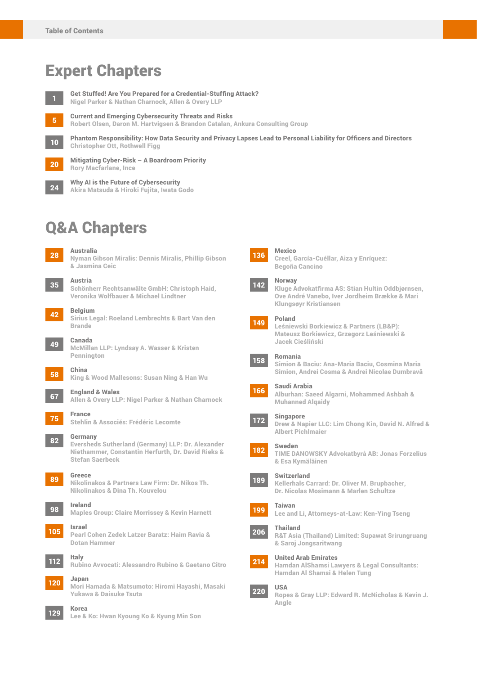# Expert Chapters

<sup>1</sup> Get Stuffed! Are You Prepared for a Credential-Stuffing Attack?

Nigel Parker & Nathan Charnock, Allen & Overy LLP

10

<sup>5</sup> Current and Emerging Cybersecurity Threats and Risks Robert Olsen, Daron M. Hartvigsen & Brandon Catalan, Ankura Consulting Group

Phantom Responsibility: How Data Security and Privacy Lapses Lead to Personal Liability for Officers and Directors Christopher Ott, Rothwell Figg

20

Mitigating Cyber-Risk – A Boardroom Priority Rory Macfarlane, Ince

Why AI is the Future of Cybersecurity Akira Matsuda & Hiroki Fujita, Iwata Godo 24

# Q&A Chapters



<sup>28</sup> Australia Nyman Gibson Miralis: Dennis Miralis, Phillip Gibson & Jasmina Ceic

<sup>35</sup> Austria Schönherr Rechtsanwälte GmbH: Christoph Haid, Veronika Wolfbauer & Michael Lindtner

<sup>42</sup> Belgium Sirius Legal: Roeland Lembrechts & Bart Van den Brande

<sup>49</sup> Canada McMillan LLP: Lyndsay A. Wasser & Kristen Pennington

<sup>58</sup> China King & Wood Mallesons: Susan Ning & Han Wu

<sup>67</sup> England & Wales Allen & Overy LLP: Nigel Parker & Nathan Charnock

<sup>75</sup> France Stehlin & Associés: Frédéric Lecomte



Eversheds Sutherland (Germany) LLP: Dr. Alexander Niethammer, Constantin Herfurth, Dr. David Rieks & Stefan Saerbeck



<sup>89</sup> Greece Nikolinakos & Partners Law Firm: Dr. Nikos Th. Nikolinakos & Dina Th. Kouvelou

<sup>98</sup> Ireland Maples Group: Claire Morrissey & Kevin Harnett

<sup>105</sup> Israel Pearl Cohen Zedek Latzer Baratz: Haim Ravia & Dotan Hammer



Rubino Avvocati: Alessandro Rubino & Gaetano Citro

<sup>120</sup> Japan

Mori Hamada & Matsumoto: Hiromi Hayashi, Masaki Yukawa & Daisuke Tsuta

#### 129 Korea

Lee & Ko: Hwan Kyoung Ko & Kyung Min Son



#### Mexico



#### 142 Norway

Kluge Advokatfirma AS: Stian Hultin Oddbjørnsen, Ove André Vanebo, Iver Jordheim Brække & Mari Klungsøyr Kristiansen

#### 149 Poland

Leśniewski Borkiewicz & Partners (LB&P): Mateusz Borkiewicz, Grzegorz Leśniewski & Jacek Cieśliński

#### 158 Romania

Simion & Baciu: Ana-Maria Baciu, Cosmina Maria Simion, Andrei Cosma & Andrei Nicolae Dumbravă

#### 166 Saudi Arabia

Alburhan: Saeed Algarni, Mohammed Ashbah & Muhanned Alqaidy

#### Singapore

Drew & Napier LLC: Lim Chong Kin, David N. Alfred & Albert Pichlmaier



172

## Sweden

TIME DANOWSKY Advokatbyrå AB: Jonas Forzelius & Esa Kymäläinen



#### Switzerland



Kellerhals Carrard: Dr. Oliver M. Brupbacher, Dr. Nicolas Mosimann & Marlen Schultze

```
199
 Taiwan
Lee and Li, Attorneys-at-Law: Ken-Ying Tseng
```
#### 206 Thailand

R&T Asia (Thailand) Limited: Supawat Srirungruang & Saroj Jongsaritwang



## United Arab Emirates



Hamdan AlShamsi Lawyers & Legal Consultants: Hamdan Al Shamsi & Helen Tung

220



Ropes & Gray LLP: Edward R. McNicholas & Kevin J. Angle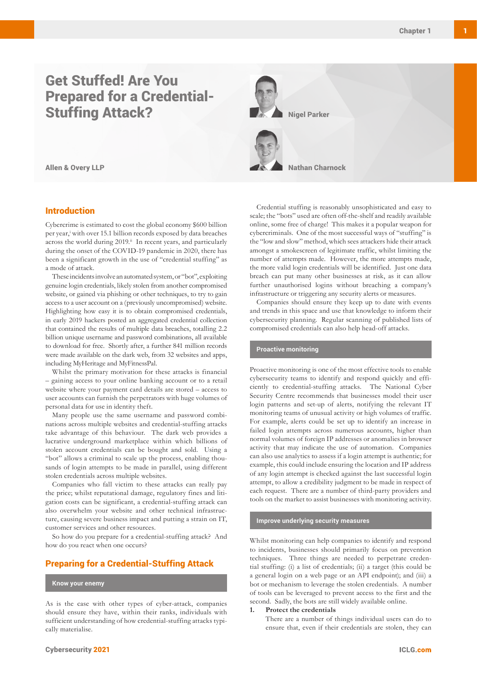# Get Stuffed! Are You Prepared for a Credential-Stuffing Attack?

### Introduction

Cybercrime is estimated to cost the global economy \$600 billion per year,<sup>i</sup> with over 15.1 billion records exposed by data breaches across the world during 2019.<sup>ii</sup> In recent years, and particularly during the onset of the COVID-19 pandemic in 2020, there has been a significant growth in the use of "credential stuffing" as a mode of attack.

These incidents involve an automated system, or "bot", exploiting genuine login credentials, likely stolen from another compromised website, or gained via phishing or other techniques, to try to gain access to a user account on a (previously uncompromised) website. Highlighting how easy it is to obtain compromised credentials, in early 2019 hackers posted an aggregated credential collection that contained the results of multiple data breaches, totalling 2.2 billion unique username and password combinations, all available to download for free. Shortly after, a further 841 million records were made available on the dark web, from 32 websites and apps, including MyHeritage and MyFitnessPal.

Whilst the primary motivation for these attacks is financial – gaining access to your online banking account or to a retail website where your payment card details are stored – access to user accounts can furnish the perpetrators with huge volumes of personal data for use in identity theft.

Many people use the same username and password combinations across multiple websites and credential-stuffing attacks take advantage of this behaviour. The dark web provides a lucrative underground marketplace within which billions of stolen account credentials can be bought and sold. Using a "bot" allows a criminal to scale up the process, enabling thousands of login attempts to be made in parallel, using different stolen credentials across multiple websites.

Companies who fall victim to these attacks can really pay the price; whilst reputational damage, regulatory fines and litigation costs can be significant, a credential-stuffing attack can also overwhelm your website and other technical infrastructure, causing severe business impact and putting a strain on IT, customer services and other resources.

So how do you prepare for a credential-stuffing attack? And how do you react when one occurs?

### Preparing for a Credential-Stuffing Attack

#### **Know your enemy**

As is the case with other types of cyber-attack, companies should ensure they have, within their ranks, individuals with sufficient understanding of how credential-stuffing attacks typically materialise.



Credential stuffing is reasonably unsophisticated and easy to scale; the "bots" used are often off-the-shelf and readily available online, some free of charge! This makes it a popular weapon for cybercriminals. One of the most successful ways of "stuffing" is the "low and slow" method, which sees attackers hide their attack amongst a smokescreen of legitimate traffic, whilst limiting the number of attempts made. However, the more attempts made, the more valid login credentials will be identified. Just one data breach can put many other businesses at risk, as it can allow further unauthorised logins without breaching a company's infrastructure or triggering any security alerts or measures.

Companies should ensure they keep up to date with events and trends in this space and use that knowledge to inform their cybersecurity planning. Regular scanning of published lists of compromised credentials can also help head-off attacks.

#### **Proactive monitoring**

Proactive monitoring is one of the most effective tools to enable cybersecurity teams to identify and respond quickly and efficiently to credential-stuffing attacks. The National Cyber Security Centre recommends that businesses model their user login patterns and set-up of alerts, notifying the relevant IT monitoring teams of unusual activity or high volumes of traffic. For example, alerts could be set up to identify an increase in failed login attempts across numerous accounts, higher than normal volumes of foreign IP addresses or anomalies in browser activity that may indicate the use of automation. Companies can also use analytics to assess if a login attempt is authentic; for example, this could include ensuring the location and IP address of any login attempt is checked against the last successful login attempt, to allow a credibility judgment to be made in respect of each request. There are a number of third-party providers and tools on the market to assist businesses with monitoring activity.

#### **Improve underlying security measures**

Whilst monitoring can help companies to identify and respond to incidents, businesses should primarily focus on prevention techniques. Three things are needed to perpetrate credential stuffing: (i) a list of credentials; (ii) a target (this could be a general login on a web page or an API endpoint); and (iii) a bot or mechanism to leverage the stolen credentials. A number of tools can be leveraged to prevent access to the first and the second. Sadly, the bots are still widely available online.

#### **1. Protect the credentials**

There are a number of things individual users can do to ensure that, even if their credentials are stolen, they can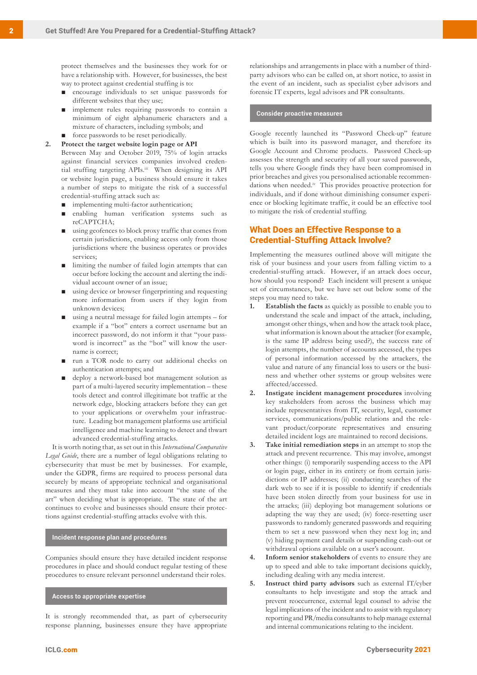protect themselves and the businesses they work for or have a relationship with. However, for businesses, the best way to protect against credential stuffing is to:

- encourage individuals to set unique passwords for different websites that they use;
- implement rules requiring passwords to contain a minimum of eight alphanumeric characters and a mixture of characters, including symbols; and
- force passwords to be reset periodically.

**2. Protect the target website login page or API**

Between May and October 2019, 75% of login attacks against financial services companies involved credential stuffing targeting APIs.iii When designing its API or website login page, a business should ensure it takes a number of steps to mitigate the risk of a successful credential-stuffing attack such as:

- implementing multi-factor authentication;
- enabling human verification systems such as reCAPTCHA;
- using geofences to block proxy traffic that comes from certain jurisdictions, enabling access only from those jurisdictions where the business operates or provides services;
- limiting the number of failed login attempts that can occur before locking the account and alerting the individual account owner of an issue;
- using device or browser fingerprinting and requesting more information from users if they login from unknown devices;
- using a neutral message for failed login attempts for example if a "bot" enters a correct username but an incorrect password, do not inform it that "your password is incorrect" as the "bot" will know the username is correct;
- run a TOR node to carry out additional checks on authentication attempts; and
- deploy a network-based bot management solution as part of a multi-layered security implementation – these tools detect and control illegitimate bot traffic at the network edge, blocking attackers before they can get to your applications or overwhelm your infrastructure. Leading bot management platforms use artificial intelligence and machine learning to detect and thwart advanced credential-stuffing attacks.

It is worth noting that, as set out in this *International Comparative Legal Guide*, there are a number of legal obligations relating to cybersecurity that must be met by businesses. For example, under the GDPR, firms are required to process personal data securely by means of appropriate technical and organisational measures and they must take into account "the state of the art" when deciding what is appropriate. The state of the art continues to evolve and businesses should ensure their protections against credential-stuffing attacks evolve with this.

#### **Incident response plan and procedures**

Companies should ensure they have detailed incident response procedures in place and should conduct regular testing of these procedures to ensure relevant personnel understand their roles.

**Access to appropriate expertise**

It is strongly recommended that, as part of cybersecurity response planning, businesses ensure they have appropriate relationships and arrangements in place with a number of thirdparty advisors who can be called on, at short notice, to assist in the event of an incident, such as specialist cyber advisors and forensic IT experts, legal advisors and PR consultants.

#### **Consider proactive measures**

Google recently launched its "Password Check-up" feature which is built into its password manager, and therefore its Google Account and Chrome products. Password Check-up assesses the strength and security of all your saved passwords, tells you where Google finds they have been compromised in prior breaches and gives you personalised actionable recommendations when needed.iv This provides proactive protection for individuals, and if done without diminishing consumer experience or blocking legitimate traffic, it could be an effective tool to mitigate the risk of credential stuffing.

## What Does an Effective Response to a Credential-Stuffing Attack Involve?

Implementing the measures outlined above will mitigate the risk of your business and your users from falling victim to a credential-stuffing attack. However, if an attack does occur, how should you respond? Each incident will present a unique set of circumstances, but we have set out below some of the steps you may need to take.

- **1. Establish the facts** as quickly as possible to enable you to understand the scale and impact of the attack, including, amongst other things, when and how the attack took place, what information is known about the attacker (for example, is the same IP address being used?), the success rate of login attempts, the number of accounts accessed, the types of personal information accessed by the attackers, the value and nature of any financial loss to users or the business and whether other systems or group websites were affected/accessed.
- **2. Instigate incident management procedures** involving key stakeholders from across the business which may include representatives from IT, security, legal, customer services, communications/public relations and the relevant product/corporate representatives and ensuring detailed incident logs are maintained to record decisions.
- **3. Take initial remediation steps** in an attempt to stop the attack and prevent recurrence. This may involve, amongst other things: (i) temporarily suspending access to the API or login page, either in its entirety or from certain jurisdictions or IP addresses; (ii) conducting searches of the dark web to see if it is possible to identify if credentials have been stolen directly from your business for use in the attacks; (iii) deploying bot management solutions or adapting the way they are used; (iv) force-resetting user passwords to randomly generated passwords and requiring them to set a new password when they next log in; and (v) hiding payment card details or suspending cash-out or withdrawal options available on a user's account.
- **4. Inform senior stakeholders** of events to ensure they are up to speed and able to take important decisions quickly, including dealing with any media interest.
- **5. Instruct third party advisors** such as external IT/cyber consultants to help investigate and stop the attack and prevent reoccurrence, external legal counsel to advise the legal implications of the incident and to assist with regulatory reporting and PR/media consultants to help manage external and internal communications relating to the incident.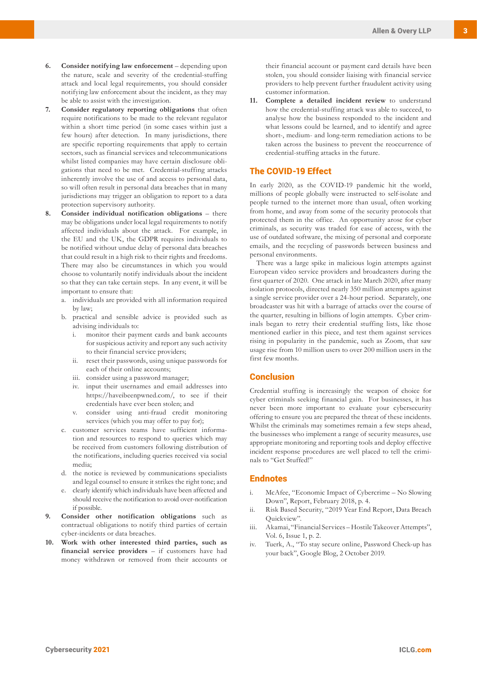- **6. Consider notifying law enforcement** depending upon the nature, scale and severity of the credential-stuffing attack and local legal requirements, you should consider notifying law enforcement about the incident, as they may be able to assist with the investigation.
- **7. Consider regulatory reporting obligations** that often require notifications to be made to the relevant regulator within a short time period (in some cases within just a few hours) after detection. In many jurisdictions, there are specific reporting requirements that apply to certain sectors, such as financial services and telecommunications whilst listed companies may have certain disclosure obligations that need to be met. Credential-stuffing attacks inherently involve the use of and access to personal data, so will often result in personal data breaches that in many jurisdictions may trigger an obligation to report to a data protection supervisory authority.
- **8. Consider individual notification obligations**  there may be obligations under local legal requirements to notify affected individuals about the attack. For example, in the EU and the UK, the GDPR requires individuals to be notified without undue delay of personal data breaches that could result in a high risk to their rights and freedoms. There may also be circumstances in which you would choose to voluntarily notify individuals about the incident so that they can take certain steps. In any event, it will be important to ensure that:
	- a. individuals are provided with all information required by law;
	- b. practical and sensible advice is provided such as advising individuals to:
		- i. monitor their payment cards and bank accounts for suspicious activity and report any such activity to their financial service providers;
		- ii. reset their passwords, using unique passwords for each of their online accounts;
		- iii. consider using a password manager;
		- iv. input their usernames and email addresses into https://haveibeenpwned.com/, to see if their credentials have ever been stolen; and
		- v. consider using anti-fraud credit monitoring services (which you may offer to pay for);
	- c. customer services teams have sufficient information and resources to respond to queries which may be received from customers following distribution of the notifications, including queries received via social media;
	- d. the notice is reviewed by communications specialists and legal counsel to ensure it strikes the right tone; and
	- e. clearly identify which individuals have been affected and should receive the notification to avoid over-notification if possible.
- **9. Consider other notification obligations** such as contractual obligations to notify third parties of certain cyber-incidents or data breaches.
- **10. Work with other interested third parties, such as financial service providers** – if customers have had money withdrawn or removed from their accounts or

their financial account or payment card details have been stolen, you should consider liaising with financial service providers to help prevent further fraudulent activity using customer information.

**11. Complete a detailed incident review** to understand how the credential-stuffing attack was able to succeed, to analyse how the business responded to the incident and what lessons could be learned, and to identify and agree short-, medium- and long-term remediation actions to be taken across the business to prevent the reoccurrence of credential-stuffing attacks in the future.

## The COVID-19 Effect

In early 2020, as the COVID-19 pandemic hit the world, millions of people globally were instructed to self-isolate and people turned to the internet more than usual, often working from home, and away from some of the security protocols that protected them in the office. An opportunity arose for cyber criminals, as security was traded for ease of access, with the use of outdated software, the mixing of personal and corporate emails, and the recycling of passwords between business and personal environments.

There was a large spike in malicious login attempts against European video service providers and broadcasters during the first quarter of 2020. One attack in late March 2020, after many isolation protocols, directed nearly 350 million attempts against a single service provider over a 24-hour period. Separately, one broadcaster was hit with a barrage of attacks over the course of the quarter, resulting in billions of login attempts. Cyber criminals began to retry their credential stuffing lists, like those mentioned earlier in this piece, and test them against services rising in popularity in the pandemic, such as Zoom, that saw usage rise from 10 million users to over 200 million users in the first few months.

## **Conclusion**

Credential stuffing is increasingly the weapon of choice for cyber criminals seeking financial gain. For businesses, it has never been more important to evaluate your cybersecurity offering to ensure you are prepared the threat of these incidents. Whilst the criminals may sometimes remain a few steps ahead, the businesses who implement a range of security measures, use appropriate monitoring and reporting tools and deploy effective incident response procedures are well placed to tell the criminals to "Get Stuffed!"

#### Endnotes

- i. McAfee, "Economic Impact of Cybercrime No Slowing Down", Report, February 2018, p. 4.
- ii. Risk Based Security, "2019 Year End Report, Data Breach Quickview".
- iii. Akamai, "Financial Services Hostile Takeover Attempts", Vol. 6, Issue 1, p. 2.
- iv. Tuerk, A., "To stay secure online, Password Check-up has your back", Google Blog, 2 October 2019.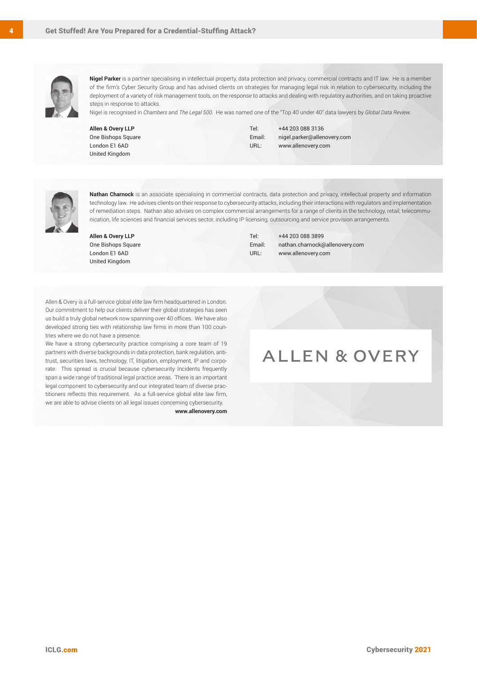

**Nigel Parker** is a partner specialising in intellectual property, data protection and privacy, commercial contracts and IT law. He is a member of the firm's Cyber Security Group and has advised clients on strategies for managing legal risk in relation to cybersecurity, including the deployment of a variety of risk management tools, on the response to attacks and dealing with regulatory authorities, and on taking proactive steps in response to attacks.

Nigel is recognised in *Chambers* and *The Legal 500*. He was named one of the "Top 40 under 40" data lawyers by *Global Data Review*.

**Allen & Overy LLP** One Bishops Square London E1 6AD United Kingdom

Tel: +44 203 088 3136 Email: nigel.parker@allenovery.com URL: www.allenovery.com



**Nathan Charnock** is an associate specialising in commercial contracts, data protection and privacy, intellectual property and information technology law. He advises clients on their response to cybersecurity attacks, including their interactions with regulators and implementation of remediation steps. Nathan also advises on complex commercial arrangements for a range of clients in the technology, retail, telecommunication, life sciences and financial services sector, including IP licensing, outsourcing and service provision arrangements.

**Allen & Overy LLP** One Bishops Square London E1 6AD United Kingdom

Tel: +44 203 088 3899 Email: nathan.charnock@allenovery.com URL: www.allenovery.com

Allen & Overy is a full-service global elite law firm headquartered in London. Our commitment to help our clients deliver their global strategies has seen us build a truly global network now spanning over 40 offices. We have also developed strong ties with relationship law firms in more than 100 countries where we do not have a presence.

We have a strong cybersecurity practice comprising a core team of 19 partners with diverse backgrounds in data protection, bank regulation, antitrust, securities laws, technology, IT, litigation, employment, IP and corporate. This spread is crucial because cybersecurity Incidents frequently span a wide range of traditional legal practice areas. There is an important legal component to cybersecurity and our integrated team of diverse practitioners reflects this requirement. As a full-service global elite law firm, we are able to advise clients on all legal issues concerning cybersecurity.

**www.allenovery.com**

# **ALLEN & OVERY**